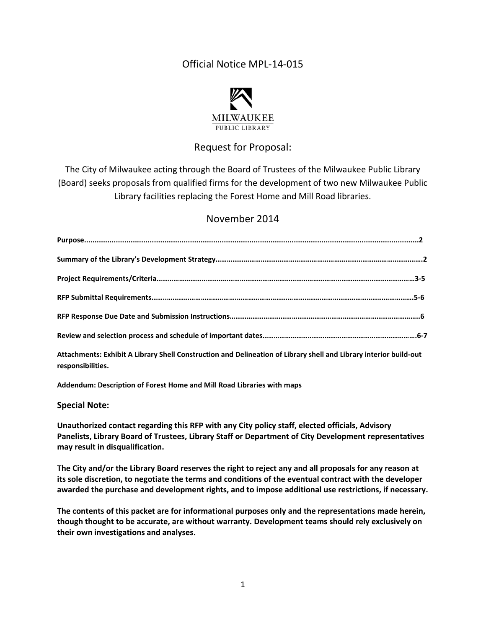# Official Notice MPL-14-015



## Request for Proposal:

The City of Milwaukee acting through the Board of Trustees of the Milwaukee Public Library (Board) seeks proposals from qualified firms for the development of two new Milwaukee Public Library facilities replacing the Forest Home and Mill Road libraries.

### November 2014

| 이 사이트 STATE STATE STATE STATE STATE STATE STATE STATE STATE STATE STATE STATE STATE STATE STATE STATE STATE ST |  |
|----------------------------------------------------------------------------------------------------------------|--|

**Attachments: Exhibit A Library Shell Construction and Delineation of Library shell and Library interior build-out responsibilities.** 

**Addendum: Description of Forest Home and Mill Road Libraries with maps** 

#### **Special Note:**

**Unauthorized contact regarding this RFP with any City policy staff, elected officials, Advisory Panelists, Library Board of Trustees, Library Staff or Department of City Development representatives may result in disqualification.** 

**The City and/or the Library Board reserves the right to reject any and all proposals for any reason at its sole discretion, to negotiate the terms and conditions of the eventual contract with the developer awarded the purchase and development rights, and to impose additional use restrictions, if necessary.** 

**The contents of this packet are for informational purposes only and the representations made herein, though thought to be accurate, are without warranty. Development teams should rely exclusively on their own investigations and analyses.**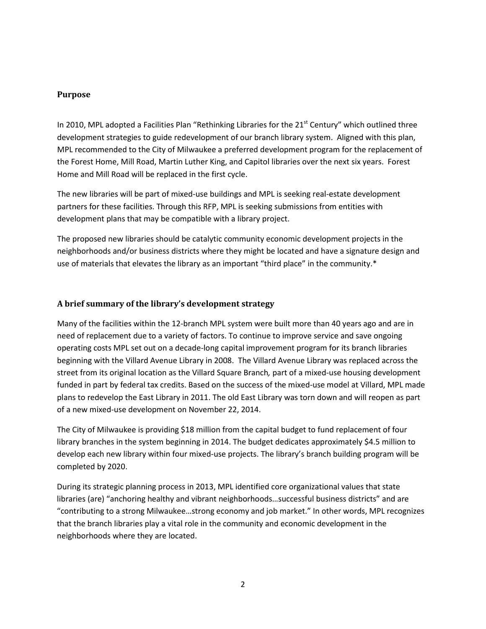#### **Purpose**

In 2010, MPL adopted a Facilities Plan "Rethinking Libraries for the 21<sup>st</sup> Century" which outlined three development strategies to guide redevelopment of our branch library system. Aligned with this plan, MPL recommended to the City of Milwaukee a preferred development program for the replacement of the Forest Home, Mill Road, Martin Luther King, and Capitol libraries over the next six years. Forest Home and Mill Road will be replaced in the first cycle.

The new libraries will be part of mixed-use buildings and MPL is seeking real-estate development partners for these facilities. Through this RFP, MPL is seeking submissions from entities with development plans that may be compatible with a library project.

The proposed new libraries should be catalytic community economic development projects in the neighborhoods and/or business districts where they might be located and have a signature design and use of materials that elevates the library as an important "third place" in the community.\*

#### **A brief summary of the library's development strategy**

Many of the facilities within the 12-branch MPL system were built more than 40 years ago and are in need of replacement due to a variety of factors. To continue to improve service and save ongoing operating costs MPL set out on a decade-long capital improvement program for its branch libraries beginning with the Villard Avenue Library in 2008. The Villard Avenue Library was replaced across the street from its original location as the Villard Square Branch*,* part of a mixed-use housing development funded in part by federal tax credits. Based on the success of the mixed-use model at Villard, MPL made plans to redevelop the East Library in 2011. The old East Library was torn down and will reopen as part of a new mixed-use development on November 22, 2014.

The City of Milwaukee is providing \$18 million from the capital budget to fund replacement of four library branches in the system beginning in 2014. The budget dedicates approximately \$4.5 million to develop each new library within four mixed-use projects. The library's branch building program will be completed by 2020.

During its strategic planning process in 2013, MPL identified core organizational values that state libraries (are) "anchoring healthy and vibrant neighborhoods…successful business districts" and are "contributing to a strong Milwaukee…strong economy and job market." In other words, MPL recognizes that the branch libraries play a vital role in the community and economic development in the neighborhoods where they are located.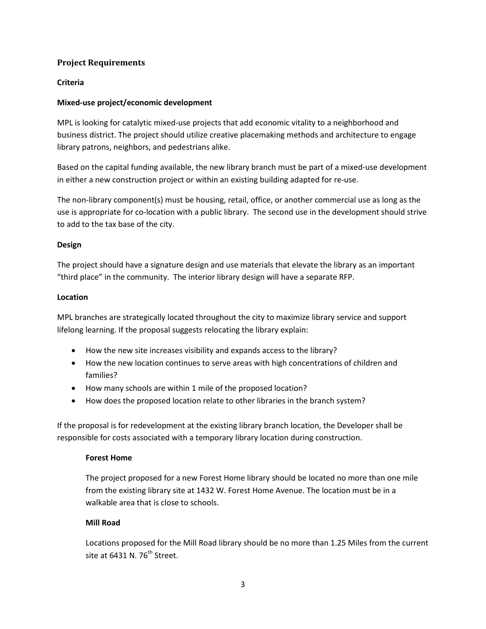#### **Project Requirements**

#### **Criteria**

#### **Mixed-use project/economic development**

MPL is looking for catalytic mixed-use projects that add economic vitality to a neighborhood and business district. The project should utilize creative placemaking methods and architecture to engage library patrons, neighbors, and pedestrians alike.

Based on the capital funding available, the new library branch must be part of a mixed-use development in either a new construction project or within an existing building adapted for re-use.

The non-library component(s) must be housing, retail, office, or another commercial use as long as the use is appropriate for co-location with a public library. The second use in the development should strive to add to the tax base of the city.

#### **Design**

The project should have a signature design and use materials that elevate the library as an important "third place" in the community. The interior library design will have a separate RFP.

#### **Location**

MPL branches are strategically located throughout the city to maximize library service and support lifelong learning. If the proposal suggests relocating the library explain:

- How the new site increases visibility and expands access to the library?
- How the new location continues to serve areas with high concentrations of children and families?
- How many schools are within 1 mile of the proposed location?
- How does the proposed location relate to other libraries in the branch system?

If the proposal is for redevelopment at the existing library branch location, the Developer shall be responsible for costs associated with a temporary library location during construction.

#### **Forest Home**

The project proposed for a new Forest Home library should be located no more than one mile from the existing library site at 1432 W. Forest Home Avenue. The location must be in a walkable area that is close to schools.

#### **Mill Road**

Locations proposed for the Mill Road library should be no more than 1.25 Miles from the current site at  $6431$  N.  $76^{th}$  Street.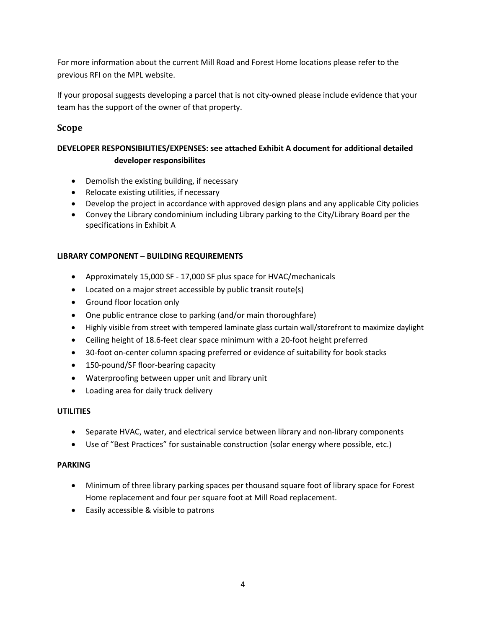For more information about the current Mill Road and Forest Home locations please refer to the previous RFI on the MPL website.

If your proposal suggests developing a parcel that is not city-owned please include evidence that your team has the support of the owner of that property.

### **Scope**

### **DEVELOPER RESPONSIBILITIES/EXPENSES: see attached Exhibit A document for additional detailed developer responsibilites**

- Demolish the existing building, if necessary
- Relocate existing utilities, if necessary
- Develop the project in accordance with approved design plans and any applicable City policies
- Convey the Library condominium including Library parking to the City/Library Board per the specifications in Exhibit A

#### **LIBRARY COMPONENT – BUILDING REQUIREMENTS**

- Approximately 15,000 SF 17,000 SF plus space for HVAC/mechanicals
- Located on a major street accessible by public transit route(s)
- Ground floor location only
- One public entrance close to parking (and/or main thoroughfare)
- Highly visible from street with tempered laminate glass curtain wall/storefront to maximize daylight
- Ceiling height of 18.6-feet clear space minimum with a 20-foot height preferred
- 30-foot on-center column spacing preferred or evidence of suitability for book stacks
- 150-pound/SF floor-bearing capacity
- Waterproofing between upper unit and library unit
- Loading area for daily truck delivery

#### **UTILITIES**

- Separate HVAC, water, and electrical service between library and non-library components
- Use of "Best Practices" for sustainable construction (solar energy where possible, etc.)

#### **PARKING**

- Minimum of three library parking spaces per thousand square foot of library space for Forest Home replacement and four per square foot at Mill Road replacement.
- Easily accessible & visible to patrons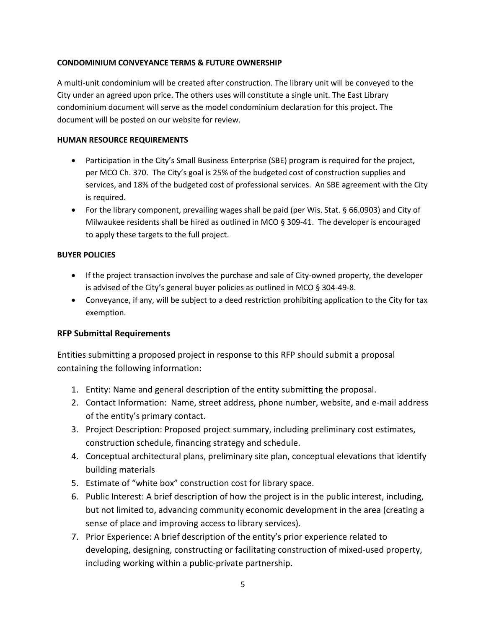#### **CONDOMINIUM CONVEYANCE TERMS & FUTURE OWNERSHIP**

A multi-unit condominium will be created after construction. The library unit will be conveyed to the City under an agreed upon price. The others uses will constitute a single unit. The East Library condominium document will serve as the model condominium declaration for this project. The document will be posted on our website for review.

#### **HUMAN RESOURCE REQUIREMENTS**

- Participation in the City's Small Business Enterprise (SBE) program is required for the project, per MCO Ch. 370. The City's goal is 25% of the budgeted cost of construction supplies and services, and 18% of the budgeted cost of professional services. An SBE agreement with the City is required.
- For the library component, prevailing wages shall be paid (per Wis. Stat. § 66.0903) and City of Milwaukee residents shall be hired as outlined in MCO § 309-41. The developer is encouraged to apply these targets to the full project.

#### **BUYER POLICIES**

- If the project transaction involves the purchase and sale of City-owned property, the developer is advised of the City's general buyer policies as outlined in MCO § 304-49-8.
- Conveyance, if any, will be subject to a deed restriction prohibiting application to the City for tax exemption.

#### **RFP Submittal Requirements**

Entities submitting a proposed project in response to this RFP should submit a proposal containing the following information:

- 1. Entity: Name and general description of the entity submitting the proposal.
- 2. Contact Information: Name, street address, phone number, website, and e-mail address of the entity's primary contact.
- 3. Project Description: Proposed project summary, including preliminary cost estimates, construction schedule, financing strategy and schedule.
- 4. Conceptual architectural plans, preliminary site plan, conceptual elevations that identify building materials
- 5. Estimate of "white box" construction cost for library space.
- 6. Public Interest: A brief description of how the project is in the public interest, including, but not limited to, advancing community economic development in the area (creating a sense of place and improving access to library services).
- 7. Prior Experience: A brief description of the entity's prior experience related to developing, designing, constructing or facilitating construction of mixed-used property, including working within a public-private partnership.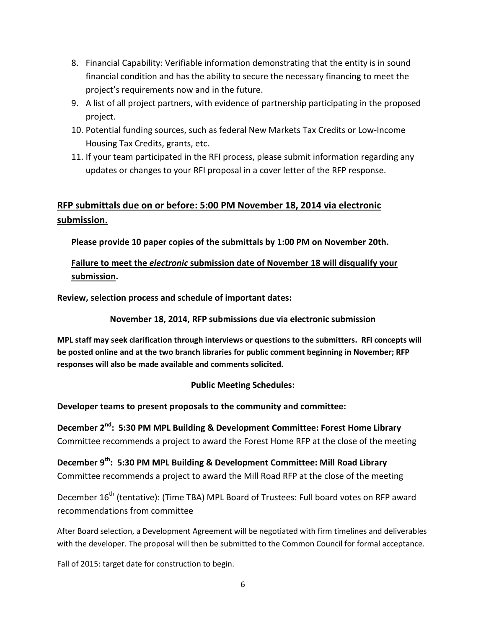- 8. Financial Capability: Verifiable information demonstrating that the entity is in sound financial condition and has the ability to secure the necessary financing to meet the project's requirements now and in the future.
- 9. A list of all project partners, with evidence of partnership participating in the proposed project.
- 10. Potential funding sources, such as federal New Markets Tax Credits or Low-Income Housing Tax Credits, grants, etc.
- 11. If your team participated in the RFI process, please submit information regarding any updates or changes to your RFI proposal in a cover letter of the RFP response.

# **RFP submittals due on or before: 5:00 PM November 18, 2014 via electronic submission.**

**Please provide 10 paper copies of the submittals by 1:00 PM on November 20th.** 

# **Failure to meet the** *electronic* **submission date of November 18 will disqualify your submission.**

**Review, selection process and schedule of important dates:** 

### **November 18, 2014, RFP submissions due via electronic submission**

**MPL staff may seek clarification through interviews or questions to the submitters. RFI concepts will be posted online and at the two branch libraries for public comment beginning in November; RFP responses will also be made available and comments solicited.**

### **Public Meeting Schedules:**

**Developer teams to present proposals to the community and committee:** 

**December 2nd: 5:30 PM MPL Building & Development Committee: Forest Home Library** Committee recommends a project to award the Forest Home RFP at the close of the meeting

**December 9th: 5:30 PM MPL Building & Development Committee: Mill Road Library** Committee recommends a project to award the Mill Road RFP at the close of the meeting

December 16<sup>th</sup> (tentative): (Time TBA) MPL Board of Trustees: Full board votes on RFP award recommendations from committee

After Board selection, a Development Agreement will be negotiated with firm timelines and deliverables with the developer. The proposal will then be submitted to the Common Council for formal acceptance.

Fall of 2015: target date for construction to begin.